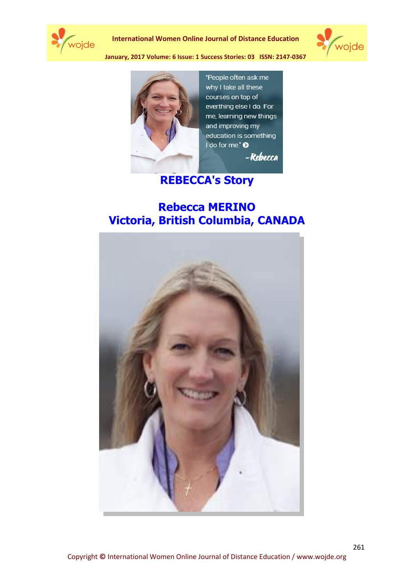

**International Women Online Journal of Distance Education**





"People often ask me why I take all these courses on top of everthing else I do. For me, learning new things and improving my education is something I do for me." <sup>O</sup> -Rebecca

## **REBECCA's Story**

## **Rebecca MERINO Victoria, British Columbia, CANADA**

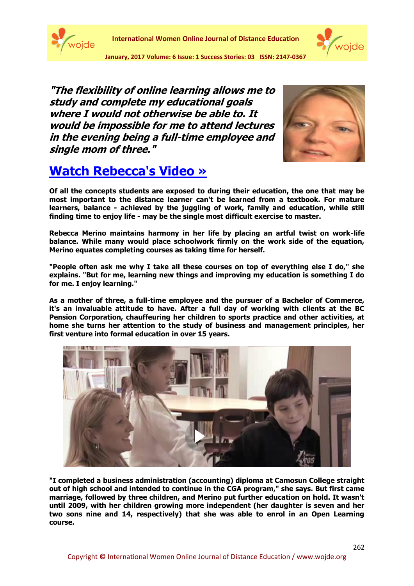



**"The flexibility of online learning allows me to study and complete my educational goals where I would not otherwise be able to. It would be impossible for me to attend lectures in the evening being a full-time employee and single mom of three."**



## **[Watch Rebecca's Video »](http://www.tru.ca/assets/ol/includes/testimonials/engine/swf/player.swf?url=http://barabus.tru.ca/truestories/RebeccaM.flv&volume=100)**

**Of all the concepts students are exposed to during their education, the one that may be most important to the distance learner can't be learned from a textbook. For mature learners, balance - achieved by the juggling of work, family and education, while still finding time to enjoy life - may be the single most difficult exercise to master.**

**Rebecca Merino maintains harmony in her life by placing an artful twist on work-life balance. While many would place schoolwork firmly on the work side of the equation, Merino equates completing courses as taking time for herself.**

**"People often ask me why I take all these courses on top of everything else I do," she explains. "But for me, learning new things and improving my education is something I do for me. I enjoy learning."**

**As a mother of three, a full-time employee and the pursuer of a Bachelor of Commerce, it's an invaluable attitude to have. After a full day of working with clients at the BC Pension Corporation, chauffeuring her children to sports practice and other activities, at home she turns her attention to the study of business and management principles, her first venture into formal education in over 15 years.**



**"I completed a business administration (accounting) diploma at Camosun College straight out of high school and intended to continue in the CGA program," she says. But first came marriage, followed by three children, and Merino put further education on hold. It wasn't until 2009, with her children growing more independent (her daughter is seven and her two sons nine and 14, respectively) that she was able to enrol in an Open Learning course.**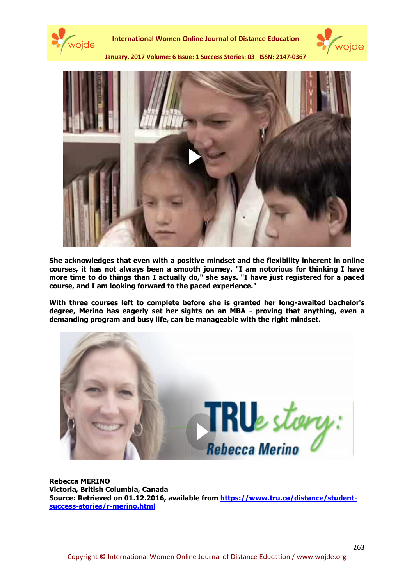





**She acknowledges that even with a positive mindset and the flexibility inherent in online courses, it has not always been a smooth journey. "I am notorious for thinking I have more time to do things than I actually do," she says. "I have just registered for a paced course, and I am looking forward to the paced experience."**

**With three courses left to complete before she is granted her long-awaited bachelor's degree, Merino has eagerly set her sights on an MBA - proving that anything, even a demanding program and busy life, can be manageable with the right mindset.**



**Rebecca MERINO Victoria, British Columbia, Canada Source: Retrieved on 01.12.2016, available from [https://www.tru.ca/distance/student](https://www.tru.ca/distance/student-success-stories/r-merino.html)[success-stories/r-merino.html](https://www.tru.ca/distance/student-success-stories/r-merino.html)**